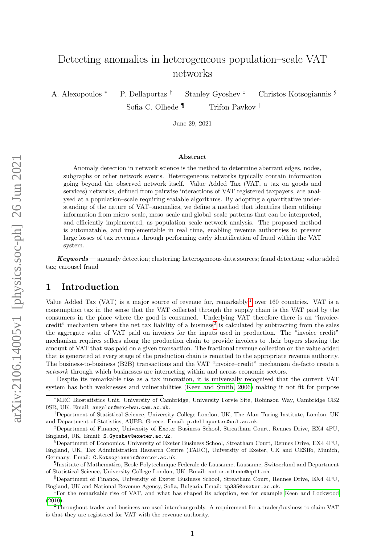# Detecting anomalies in heterogeneous population–scale VAT networks

A. Alexopoulos <sup>∗</sup> P. Dellaportas † Stanley Gyoshev ‡ Christos Kotsogiannis §

Sofia C. Olhede  $\P$  Trifon Pavkov  $\parallel$ 

June 29, 2021

#### Abstract

Anomaly detection in network science is the method to determine aberrant edges, nodes, subgraphs or other network events. Heterogeneous networks typically contain information going beyond the observed network itself. Value Added Tax (VAT, a tax on goods and services) networks, defined from pairwise interactions of VAT registered taxpayers, are analysed at a population–scale requiring scalable algorithms. By adopting a quantitative understanding of the nature of VAT–anomalies, we define a method that identifies them utilising information from micro–scale, meso–scale and global–scale patterns that can be interpreted, and efficiently implemented, as population–scale network analysis. The proposed method is automatable, and implementable in real time, enabling revenue authorities to prevent large losses of tax revenues through performing early identification of fraud within the VAT system.

Keywords— anomaly detection; clustering; heterogeneous data sources; fraud detection; value added tax; carousel fraud

# 1 Introduction

Value Added Tax (VAT) is a major source of revenue for, remarkably,<sup>[1](#page-0-0)</sup> over 160 countries. VAT is a consumption tax in the sense that the VAT collected through the supply chain is the VAT paid by the consumers in the place where the good is consumed. Underlying VAT therefore there is an "invoice-credit" mechanism where the net tax liability of a business<sup>[2](#page-0-1)</sup> is calculated by subtracting from the sales the aggregate value of VAT paid on invoices for the inputs used in production. The "invoice–credit" mechanism requires sellers along the production chain to provide invoices to their buyers showing the amount of VAT that was paid on a given transaction. The fractional revenue collection on the value added that is generated at every stage of the production chain is remitted to the appropriate revenue authority. The business-to-business (B2B) transactions and the VAT "invoice–credit" mechanism de-facto create a network through which businesses are interacting within and across economic sectors.

Despite its remarkable rise as a tax innovation, it is universally recognised that the current VAT system has both weaknesses and vulnerabilities [\(Keen and Smith, 2006\)](#page-9-0) making it not fit for purpose

<sup>∗</sup>MRC Biostatistics Unit, University of Cambridge, University Forvie Site, Robinson Way, Cambridge CB2 0SR, UK. Email: angelos@mrc-bsu.cam.ac.uk.

<sup>†</sup>Department of Statistical Science, University College London, UK, The Alan Turing Institute, London, UK and Department of Statistics, AUEB, Greece. Email: p.dellaportas@ucl.ac.uk.

<sup>‡</sup>Department of Finance, University of Exeter Business School, Streatham Court, Rennes Drive, EX4 4PU, England, UK. Email: S.Gyoshev@exeter.ac.uk.

<sup>§</sup>Department of Economics, University of Exeter Business School, Streatham Court, Rennes Drive, EX4 4PU, England, UK, Tax Administration Research Centre (TARC), University of Exeter, UK and CESIfo, Munich, Germany. Email: C.Kotsogiannis@exeter.ac.uk.

<sup>¶</sup> Institute of Mathematics, Ecole Polytechnique Federale de Lausanne, Lausanne, Switzerland and Department of Statistical Science, University College London, UK. Email: sofia.olhede@epfl.ch.

<sup>‖</sup>Department of Finance, University of Exeter Business School, Streatham Court, Rennes Drive, EX4 4PU, England, UK and National Revenue Agency, Sofia, Bulgaria Email: tp335@exeter.ac.uk.

<span id="page-0-0"></span><sup>&</sup>lt;sup>1</sup>For the remarkable rise of VAT, and what has shaped its adoption, see for example [Keen and Lockwood](#page-9-1) [\(2010\)](#page-9-1).

<span id="page-0-1"></span><sup>2</sup>Throughout trader and business are used interchangeably. A requirement for a trader/business to claim VAT is that they are registered for VAT with the revenue authority.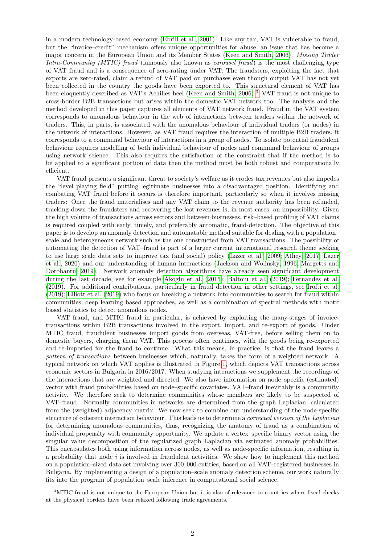in a modern technology-based economy [\(Ebrill et al., 2001\)](#page-8-0). Like any tax, VAT is vulnerable to fraud, but the "invoice–credit" mechanism offers unique opportunities for abuse, an issue that has become a major concern in the European Union and its Member States [\(Keen and Smith, 2006\)](#page-9-0). Missing Trader Intra-Community (MTIC) fraud (famously also known as *carousel fraud*) is the most challenging type of VAT fraud and is a consequence of zero-rating under VAT: The fraudsters, exploiting the fact that exports are zero-rated, claim a refund of VAT paid on purchases even though output VAT has not yet been collected in the country the goods have been exported to. This structural element of VAT has been eloquently described as VAT's Achilles heel [\(Keen and Smith, 2006\)](#page-9-0).<sup>[3](#page-1-0)</sup> VAT fraud is not unique to cross-border B2B transactions but arises within the domestic VAT network too. The analysis and the method developed in this paper captures all elements of VAT network fraud. Fraud in the VAT system corresponds to anomalous behaviour in the web of interactions between traders within the network of traders. This, in parts, is associated with the anomalous behaviour of individual traders (or nodes) in the network of interactions. However, as VAT fraud requires the interaction of multiple B2B traders, it corresponds to a communal behaviour of interactions in a group of nodes. To isolate potential fraudulent behaviour requires modelling of both individual behaviour of nodes and communal behaviour of groups using network science. This also requires the satisfaction of the constraint that if the method is to be applied to a significant portion of data then the method must be both robust and computationally efficient.

VAT fraud presents a significant threat to society's welfare as it erodes tax revenues but also impedes the "level playing field" putting legitimate businesses into a disadvantaged position. Identifying and combating VAT fraud before it occurs is therefore important, particularly so when it involves missing traders: Once the fraud materialises and any VAT claim to the revenue authority has been refunded, tracking down the fraudsters and recovering the lost revenues is, in most cases, an impossibility. Given the high volume of transactions across sectors and between businesses, risk–based profiling of VAT claims is required coupled with early, timely, and preferably automatic, fraud-detection. The objective of this paper is to develop an anomaly detection and automatable method suitable for dealing with a population– scale and heterogeneous network such as the one constructed from VAT transactions. The possibility of automating the detection of VAT–fraud is part of a larger current international research theme seeking to use large scale data sets to improve tax (and social) policy [\(Lazer et al., 2009;](#page-9-2) [Athey, 2017;](#page-8-1) [Lazer](#page-9-3) [et al., 2020\)](#page-9-3) and our understanding of human interactions [\(Jackson and Wolinsky, 1996;](#page-9-4) [Margetts and](#page-9-5) [Dorobantu, 2019\)](#page-9-5). Network anomaly detection algorithms have already seen significant development during the last decade, see for example [Akoglu et al.](#page-8-2) [\(2015\)](#page-8-2); [Baltoiu et al.](#page-8-3) [\(2019\)](#page-8-3); [Fernandes et al.](#page-8-4) [\(2019\)](#page-8-4). For additional contributions, particularly in fraud detection in other settings, see [Irofti et al.](#page-9-6) [\(2019\)](#page-9-6); [Elliott et al.](#page-8-5) [\(2019\)](#page-8-5) who focus on breaking a network into communities to search for fraud within communities, deep learning based approaches, as well as a combination of spectral methods with motif based statistics to detect anomalous nodes.

VAT fraud, and MTIC fraud in particular, is achieved by exploiting the many-stages of invoicetransactions within B2B transactions involved in the export, import, and re-export of goods. Under MTIC fraud, fraudulent businesses import goods from overseas, VAT-free, before selling them on to domestic buyers, charging them VAT. This process often continues, with the goods being re-exported and re-imported for the fraud to continue. What this means, in practice, is that the fraud leaves a pattern of transactions between businesses which, naturally, takes the form of a weighted network. A typical network on which VAT applies is illustrated in Figure [1,](#page-2-0) which depicts VAT transactions across economic sectors in Bulgaria in 2016/2017. When studying interactions we supplement the recordings of the interactions that are weighted and directed. We also have information on node–specific (estimated) vector with fraud probabilities based on node–specific covariates. VAT–fraud inevitably is a community activity. We therefore seek to determine communities whose members are likely to be suspected of VAT–fraud. Normally communities in networks are determined from the graph Laplacian, calculated from the (weighted) adjacency matrix. We now seek to combine our understanding of the node-specific structure of coherent interaction behaviour. This leads us to determine a corrected version of the Laplacian for determining anomalous communities, thus, recognizing the anatomy of fraud as a combination of individual propensity with community opportunity. We update a vertex–specific binary vector using the singular value decomposition of the regularized graph Laplacian via estimated anomaly probabilities. This encapsulates both using information across nodes, as well as node-specific information, resulting in a probability that node  $i$  is involved in fraudulent activities. We show how to implement this method on a population–sized data set involving over 300, 000 entities, based on all VAT–registered businesses in Bulgaria. By implementing a design of a population–scale anomaly detection scheme, our work naturally fits into the program of population–scale inference in computational social science.

<span id="page-1-0"></span><sup>&</sup>lt;sup>3</sup>MTIC fraud is not unique to the European Union but it is also of relevance to countries where fiscal checks at the physical borders have been relaxed following trade agreements.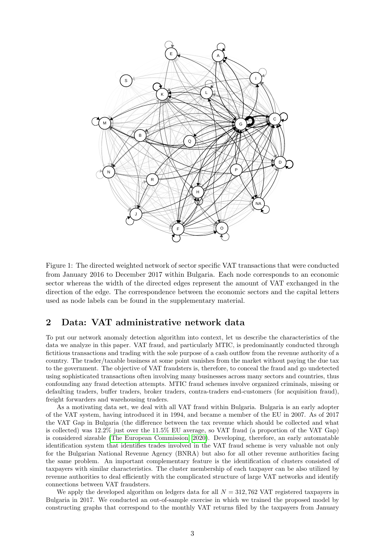<span id="page-2-0"></span>

Figure 1: The directed weighted network of sector specific VAT transactions that were conducted from January 2016 to December 2017 within Bulgaria. Each node corresponds to an economic sector whereas the width of the directed edges represent the amount of VAT exchanged in the direction of the edge. The correspondence between the economic sectors and the capital letters used as node labels can be found in the supplementary material.

# <span id="page-2-1"></span>2 Data: VAT administrative network data

To put our network anomaly detection algorithm into context, let us describe the characteristics of the data we analyze in this paper. VAT fraud, and particularly MTIC, is predominantly conducted through fictitious transactions and trading with the sole purpose of a cash outflow from the revenue authority of a country. The trader/taxable business at some point vanishes from the market without paying the due tax to the government. The objective of VAT fraudsters is, therefore, to conceal the fraud and go undetected using sophisticated transactions often involving many businesses across many sectors and countries, thus confounding any fraud detection attempts. MTIC fraud schemes involve organized criminals, missing or defaulting traders, buffer traders, broker traders, contra-traders end-customers (for acquisition fraud), freight forwarders and warehousing traders.

As a motivating data set, we deal with all VAT fraud within Bulgaria. Bulgaria is an early adopter of the VAT system, having introduced it in 1994, and became a member of the EU in 2007. As of 2017 the VAT Gap in Bulgaria (the difference between the tax revenue which should be collected and what is collected) was 12.2% just over the 11.5% EU average, so VAT fraud (a proportion of the VAT Gap) is considered sizeable [\(The European Commission, 2020\)](#page-9-7). Developing, therefore, an early automatable identification system that identifies trades involved in the VAT fraud scheme is very valuable not only for the Bulgarian National Revenue Agency (BNRA) but also for all other revenue authorities facing the same problem. An important complementary feature is the identification of clusters consisted of taxpayers with similar characteristics. The cluster membership of each taxpayer can be also utilized by revenue authorities to deal efficiently with the complicated structure of large VAT networks and identify connections between VAT fraudsters.

We apply the developed algorithm on ledgers data for all  $N = 312,762$  VAT registered taxpayers in Bulgaria in 2017. We conducted an out-of-sample exercise in which we trained the proposed model by constructing graphs that correspond to the monthly VAT returns filed by the taxpayers from January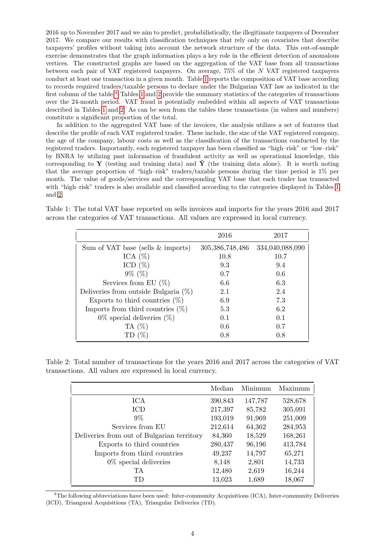2016 up to November 2017 and we aim to predict, probabilistically, the illegitimate taxpayers of December 2017. We compare our results with classification techniques that rely only on covariates that describe taxpayers' profiles without taking into account the network structure of the data. This out-of-sample exercise demonstrates that the graph information plays a key role in the efficient detection of anomalous vertices. The constructed graphs are based on the aggregation of the VAT base from all transactions between each pair of VAT registered taxpayers. On average, 75% of the N VAT registered taxpayers conduct at least one transaction in a given month. Table [1](#page-3-0) reports the composition of VAT base according to records required traders/taxable persons to declare under the Bulgarian VAT law as indicated in the first column of the table.[4](#page-3-1) Tables [1](#page-3-0) and [2](#page-3-2) provide the summary statistics of the categories of transactions over the 24-month period. VAT fraud is potentially embedded within all aspects of VAT transactions described in Tables [1](#page-3-0) and [2.](#page-3-2) As can be seen from the tables these transactions (in values and numbers) constitute a significant proportion of the total.

In addition to the aggregated VAT base of the invoices, the analysis utilizes a set of features that describe the profile of each VAT registered trader. These include, the size of the VAT registered company, the age of the company, labour costs as well as the classification of the transactions conducted by the registered traders. Importantly, each registered taxpayer has been classified as "high–risk" or "low–risk" by BNRA by utilizing past information of fraudulent activity as well as operational knowledge, this corresponding to Y (testing and training data) and  $\check{Y}$  (the training data alone). It is worth noting that the average proportion of "high–risk" traders/taxable persons during the time period is 1% per month. The value of goods/services and the corresponding VAT base that each trader has transacted with "high–risk" traders is also available and classified according to the categories displayed in Tables [1](#page-3-0) and [2.](#page-3-2)

<span id="page-3-0"></span>Table 1: The total VAT base reported on sells invoices and imports for the years 2016 and 2017 across the categories of VAT transactions. All values are expressed in local currency.

|                                         | 2016               | 2017            |
|-----------------------------------------|--------------------|-----------------|
| Sum of VAT base (sells $\&$ imports)    | 305, 386, 748, 486 | 334,040,088,090 |
| ICA $(\%)$                              | 10.8               | 10.7            |
| ICD $(\%)$                              | 9.3                | 9.4             |
| $9\%~(\%)$                              | 0.7                | 0.6             |
| Services from EU $(\%)$                 | 6.6                | 6.3             |
| Deliveries from outside Bulgaria $(\%)$ | 2.1                | 2.4             |
| Exports to third countries $(\%)$       | 6.9                | 7.3             |
| Imports from third countries $(\%)$     | 5.3                | 6.2             |
| $0\%$ special deliveries $(\%)$         | 0.1                | 0.1             |
| TA $(\%)$                               | 0.6                | 0.7             |
| TD $(\%)$                               | 0.8                | 0.8             |

<span id="page-3-2"></span>Table 2: Total number of transactions for the years 2016 and 2017 across the categories of VAT transactions. All values are expressed in local currency.

|                                            | Median  | Minimum | Maximum |
|--------------------------------------------|---------|---------|---------|
| ICA                                        | 390,843 | 147,787 | 528,678 |
| ICD                                        | 217,397 | 85,782  | 305,091 |
| $9\%$                                      | 193,019 | 91,969  | 251,009 |
| Services from EU                           | 212,614 | 64,362  | 284,953 |
| Deliveries from out of Bulgarian territory | 84,360  | 18,529  | 168,261 |
| Exports to third countries                 | 280,437 | 96,196  | 413,784 |
| Imports from third countries               | 49,237  | 14,797  | 65,271  |
| $0\%$ special deliveries                   | 8,148   | 2,801   | 14,733  |
| TA.                                        | 12,480  | 2,619   | 16,244  |
| TD                                         | 13,023  | 1,689   | 18,067  |

<span id="page-3-1"></span><sup>4</sup>The following abbreviations have been used: Inter-community Acquisitions (ICA), Inter-community Deliveries (ICD), Triangural Acquisitions (TA), Triangular Deliveries (TD).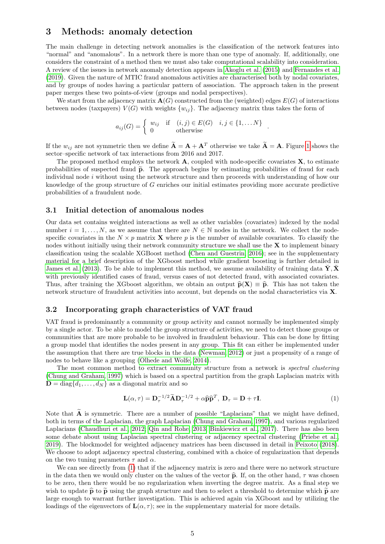### 3 Methods: anomaly detection

The main challenge in detecting network anomalies is the classification of the network features into "normal" and "anomalous". In a network there is more than one type of anomaly. If, additionally, one considers the constraint of a method then we must also take computational scalability into consideration. A review of the issues in network anomaly detection appears in [Akoglu et al.](#page-8-2) [\(2015\)](#page-8-2) and [Fernandes et al.](#page-8-4) [\(2019\)](#page-8-4). Given the nature of MTIC fraud anomalous activities are characterised both by nodal covariates, and by groups of nodes having a particular pattern of association. The approach taken in the present paper merges these two points-of-view (groups and nodal perspectives).

We start from the adjacency matrix  $\mathbf{A}(G)$  constructed from the (weighted) edges  $E(G)$  of interactions between nodes (taxpayers)  $V(G)$  with weights  $\{w_{ij}\}\$ . The adjacency matrix thus takes the form of

$$
a_{ij}(G) = \begin{cases} w_{ij} & \text{if } (i,j) \in E(G) \\ 0 & \text{otherwise} \end{cases} i, j \in \{1, \dots N\}.
$$

If the  $w_{ij}$  are not symmetric then we define  $\widetilde{A} = A + A^T$  otherwise we take  $\widetilde{A} = A$ . Figure [1](#page-2-0) shows the sector–specific network of tax interactions from 2016 and 2017.

The proposed method employs the network  $\bf{A}$ , coupled with node-specific covariates  $\bf{X}$ , to estimate probabilities of suspected fraud  $\tilde{p}$ . The approach begins by estimating probabilities of fraud for each individual node  $i$  without using the network structure and then proceeds with understanding of how our knowledge of the group structure of G enriches our initial estimates providing more accurate predictive probabilities of a fraudulent node.

#### 3.1 Initial detection of anomalous nodes

Our data set contains weighted interactions as well as other variables (covariates) indexed by the nodal number  $i = 1, \ldots, N$ , as we assume that there are  $N \in \mathbb{N}$  nodes in the network. We collect the nodespecific covariates in the  $N \times p$  matrix **X** where p is the number of available covariates. To classify the nodes without initially using their network community structure we shall use the X to implement binary classification using the scalable XGBoost method [\(Chen and Guestrin, 2016\)](#page-8-6); see in the supplementary material for a brief description of the XGboost method while gradient boosting is further detailed in [James et al.](#page-9-8) [\(2013\)](#page-9-8). To be able to implement this method, we assume availability of training data  $\check{Y}, \check{X}$ with previously identified cases of fraud, versus cases of not detected fraud, with associated covariates. Thus, after training the XGboost algorithm, we obtain an output  $\hat{p}(X) \equiv \hat{p}$ . This has not taken the network structure of fraudulent activities into account, but depends on the nodal characteristics via X.

### 3.2 Incorporating graph characteristics of VAT fraud

VAT fraud is predominantly a community or group activity and cannot normally be implemented simply by a single actor. To be able to model the group structure of activities, we need to detect those groups or communities that are more probable to be involved in fraudulent behaviour. This can be done by fitting a group model that identifies the nodes present in any group. This fit can either be implemented under the assumption that there are true blocks in the data [\(Newman, 2012\)](#page-9-9) or just a propensity of a range of nodes to behave like a grouping [\(Olhede and Wolfe, 2014\)](#page-9-10).

The most common method to extract community structure from a network is spectral clustering [\(Chung and Graham, 1997\)](#page-8-7) which is based on a spectral partition from the graph Laplacian matrix with  $\mathbf{D} = \text{diag}\{d_1, \ldots, d_N\}$  as a diagonal matrix and so

<span id="page-4-0"></span>
$$
\mathbf{L}(\alpha, \tau) = \mathbf{D}_{\tau}^{-1/2} \widetilde{\mathbf{A}} \mathbf{D}_{\tau}^{-1/2} + \alpha \widehat{\mathbf{p}} \widehat{\mathbf{p}}^T, \ \mathbf{D}_{\tau} = \mathbf{D} + \tau \mathbf{I}.
$$
 (1)

Note that  $\tilde{A}$  is symmetric. There are a number of possible "Laplacians" that we might have defined, both in terms of the Laplacian, the graph Laplacian [\(Chung and Graham, 1997\)](#page-8-7), and various regularized Laplacians [\(Chaudhuri et al., 2012;](#page-8-8) [Qin and Rohe, 2013;](#page-9-11) [Binkiewicz et al., 2017\)](#page-8-9). There has also been some debate about using Laplacian spectral clustering or adjacency spectral clustering [\(Priebe et al.,](#page-9-12) [2019\)](#page-9-12). The blockmodel for weighted adjacency matrices has been discussed in detail in [Peixoto](#page-9-13) [\(2018\)](#page-9-13). We choose to adopt adjacency spectral clustering, combined with a choice of regularization that depends on the two tuning parameters  $\tau$  and  $\alpha$ .

We can see directly from  $(1)$  that if the adjacency matrix is zero and there were no network structure in the data then we would only cluster on the values of the vector  $\hat{p}$ . If, on the other hand,  $\tau$  was chosen to be zero, then there would be no regularization when inverting the degree matrix. As a final step we wish to update  $\hat{\mathbf{p}}$  to  $\tilde{\mathbf{p}}$  using the graph structure and then to select a threshold to determine which  $\tilde{\mathbf{p}}$  are large enough to warrant further investigation. This is achieved again via XGboost and by utilizing the loadings of the eigenvectors of  $\mathbf{L}(\alpha, \tau)$ ; see in the supplementary material for more details.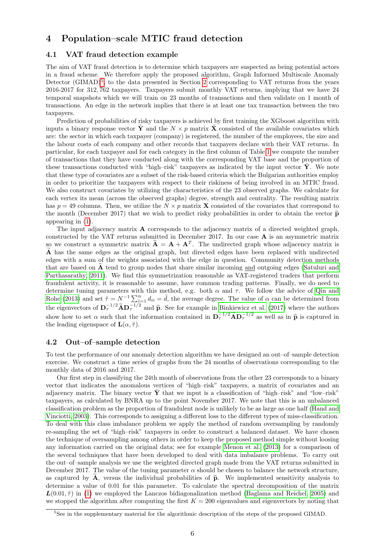# 4 Population–scale MTIC fraud detection

#### 4.1 VAT fraud detection example

The aim of VAT fraud detection is to determine which taxpayers are suspected as being potential actors in a fraud scheme. We therefore apply the proposed algorithm, Graph Informed Multiscale Anomaly Detector (GIMAD)<sup>[5](#page-5-0)</sup>, to the data presented in Section [2](#page-2-1) corresponding to VAT returns from the years 2016-2017 for 312, 762 taxpayers. Taxpayers submit monthly VAT returns, implying that we have 24 temporal snapshots which we will train on 23 months of transactions and then validate on 1 month of transactions. An edge in the network implies that there is at least one tax transaction between the two taxpayers.

Prediction of probabilities of risky taxpayers is achieved by first training the XGboost algorithm with inputs a binary response vector  $\tilde{\mathbf{Y}}$  and the  $N \times p$  matrix  $\tilde{\mathbf{X}}$  consisted of the available covariates which are: the sector in which each taxpayer (company) is registered, the number of the employees, the size and the labour costs of each company and other records that taxpayers declare with their VAT returns. In particular, for each taxpayer and for each category in the first column of Table [1](#page-3-0) we compute the number of transactions that they have conducted along with the corresponding VAT base and the proportion of these transactions conducted with "high–risk" taxpayers as indicated by the input vector  $\check{Y}$ . We note that these type of covariates are a subset of the risk-based criteria which the Bulgarian authorities employ in order to prioritize the taxpayers with respect to their riskiness of being involved in an MTIC fraud. We also construct covariates by utilizing the characteristics of the 23 observed graphs. We calculate for each vertex its mean (across the observed graphs) degree, strength and centrality. The resulting matrix has  $p = 49$  columns. Then, we utilize the  $N \times p$  matrix **X** consisted of the covariates that correspond to the month (December 2017) that we wish to predict risky probabilities in order to obtain the vector  $\hat{p}$ appearing in [\(1\)](#page-4-0).

The input adjacency matrix A corresponds to the adjacency matrix of a directed weighted graph, constructed by the VAT returns submitted in December 2017. In our case A is an asymmetric matrix so we construct a symmetric matrix  $\mathbf{A} = \mathbf{A} + \mathbf{A}^T$ . The undirected graph whose adjacency matrix is  $\tilde{A}$  has the same edges as the original graph, but directed edges have been replaced with undirected edges with a sum of the weights associated with the edge in question. Community detection methods that are based on  $A$  tend to group nodes that share similar incoming and outgoing edges [\(Satuluri and](#page-9-14) [Parthasarathy, 2011\)](#page-9-14). We find this symmetrization reasonable as VAT-registered traders that perform fraudulent activity, it is reasonable to assume, have common trading patterns. Finally, we do need to determine tuning parameters with this method, e.g. both  $\alpha$  and  $\tau$ . We follow the advice of [Qin and](#page-9-11) [Rohe](#page-9-11) [\(2013\)](#page-9-11) and set  $\hat{\tau} = N^{-1} \sum_{i=1}^{n} d_{ii} = \bar{d}$ , the average degree. The value of  $\alpha$  can be determined from the eigenvectors of  $\mathbf{D}_{\tau}^{-1/2} \widetilde{\mathbf{A}} \mathbf{D}_{\tau}^{-1/2}$  and  $\widehat{\mathbf{p}}$ . See for example in [Binkiewicz et al.](#page-8-9) [\(2017\)](#page-8-9) where the authors show how to set  $\alpha$  such that the information contained in  $\mathbf{D}_{\tau}^{-1/2} \widetilde{\math$ the leading eigenspace of  $\mathbf{L}(\alpha, \hat{\tau})$ .

#### 4.2 Out–of–sample detection

To test the performance of our anomaly detection algorithm we have designed an out–of–sample detection exercise. We construct a time series of graphs from the 24 months of observations corresponding to the monthly data of 2016 and 2017.

Our first step in classifying the 24th month of observations from the other 23 corresponds to a binary vector that indicates the anomalous vertices of "high–risk" taxpayers, a matrix of covariates and an adjacency matrix. The binary vector  $\hat{Y}$  that we input is a classification of "high-risk" and "low-risk" taxpayers, as calculated by BNRA up to the point November 2017. We note that this is an unbalanced classification problem as the proportion of fraudulent node is unlikely to be as large as one half [\(Hand and](#page-9-15) [Vinciotti, 2003\)](#page-9-15). This corresponds to assigning a different loss to the different types of miss-classification. To deal with this class imbalance problem we apply the method of random oversampling by randomly re-sampling the set of "high–risk" taxpayers in order to construct a balanced dataset. We have chosen the technique of oversampling among others in order to keep the proposed method simple without loosing any information carried on the original data; see for example [Menon et al.](#page-9-16) [\(2013\)](#page-9-16) for a comparison of the several techniques that have been developed to deal with data imbalance problems. To carry out the out–of–sample analysis we use the weighted directed graph made from the VAT returns submitted in December 2017. The value of the tuning parameter  $\alpha$  should be chosen to balance the network structure, as captured by  $\hat{A}$ , versus the individual probabilities of  $\hat{p}$ . We implemented sensitivity analysis to determine a value of 0.01 for this parameter. To calculate the spectral decomposition of the matrix  $\mathbf{L}(0.01, \hat{\tau})$  in [\(1\)](#page-4-0) we employed the Lanczos bidiagonalization method [\(Baglama and Reichel, 2005\)](#page-8-10) and we stopped the algorithm after computing the first  $K = 200$  eigenvalues and eigenvectors by noting that

<span id="page-5-0"></span><sup>&</sup>lt;sup>5</sup>See in the supplementary material for the algorithmic description of the steps of the proposed GIMAD.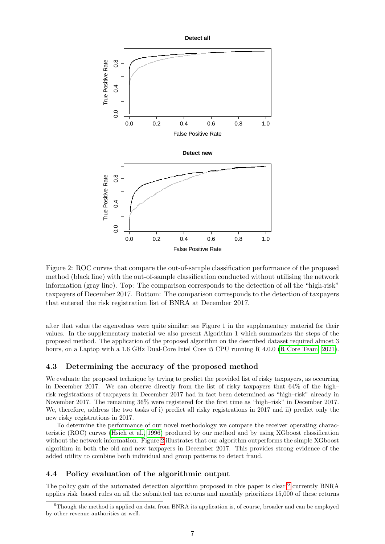<span id="page-6-0"></span>

Figure 2: ROC curves that compare the out-of-sample classification performance of the proposed method (black line) with the out-of-sample classification conducted without utilising the network information (gray line). Top: The comparison corresponds to the detection of all the "high-risk" taxpayers of December 2017. Bottom: The comparison corresponds to the detection of taxpayers that entered the risk registration list of BNRA at December 2017.

after that value the eigenvalues were quite similar; see Figure 1 in the supplementary material for their values. In the supplementary material we also present Algorithm 1 which summarizes the steps of the proposed method. The application of the proposed algorithm on the described dataset required almost 3 hours, on a Laptop with a 1.6 GHz Dual-Core Intel Core i5 CPU running R 4.0.0 [\(R Core Team, 2021\)](#page-9-17).

#### 4.3 Determining the accuracy of the proposed method

We evaluate the proposed technique by trying to predict the provided list of risky taxpayers, as occurring in December 2017. We can observe directly from the list of risky taxpayers that 64% of the high– risk registrations of taxpayers in December 2017 had in fact been determined as "high–risk" already in November 2017. The remaining 36% were registered for the first time as "high–risk" in December 2017. We, therefore, address the two tasks of i) predict all risky registrations in 2017 and ii) predict only the new risky registrations in 2017.

To determine the performance of our novel methodology we compare the receiver operating characteristic (ROC) curves [\(Hsieh et al., 1996\)](#page-9-18) produced by our method and by using XGboost classification without the network information. Figure [2](#page-6-0) illustrates that our algorithm outperforms the simple XGboost algorithm in both the old and new taxpayers in December 2017. This provides strong evidence of the added utility to combine both individual and group patterns to detect fraud.

#### 4.4 Policy evaluation of the algorithmic output

The policy gain of the automated detection algorithm proposed in this paper is clear;<sup>[6](#page-6-1)</sup> currently BNRA applies risk–based rules on all the submitted tax returns and monthly prioritizes 15,000 of these returns

<span id="page-6-1"></span> $6$ Though the method is applied on data from BNRA its application is, of course, broader and can be employed by other revenue authorities as well.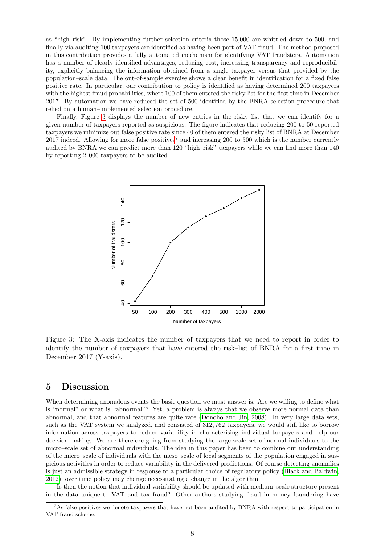as "high–risk". By implementing further selection criteria those 15,000 are whittled down to 500, and finally via auditing 100 taxpayers are identified as having been part of VAT fraud. The method proposed in this contribution provides a fully automated mechanism for identifying VAT fraudsters. Automation has a number of clearly identified advantages, reducing cost, increasing transparency and reproducibility, explicitly balancing the information obtained from a single taxpayer versus that provided by the population–scale data. The out-of-sample exercise shows a clear benefit in identification for a fixed false positive rate. In particular, our contribution to policy is identified as having determined 200 taxpayers with the highest fraud probabilities, where 100 of them entered the risky list for the first time in December 2017. By automation we have reduced the set of 500 identified by the BNRA selection procedure that relied on a human–implemented selection procedure.

<span id="page-7-0"></span>Finally, Figure [3](#page-7-0) displays the number of new entries in the risky list that we can identify for a given number of taxpayers reported as suspicious. The figure indicates that reducing 200 to 50 reported taxpayers we minimize out false positive rate since 40 of them entered the risky list of BNRA at December  $2017$  $2017$  indeed. Allowing for more false positives<sup>7</sup> and increasing 200 to 500 which is the number currently audited by BNRA we can predict more than 120 "high–risk" taxpayers while we can find more than 140 by reporting 2, 000 taxpayers to be audited.



Figure 3: The X-axis indicates the number of taxpayers that we need to report in order to identify the number of taxpayers that have entered the risk–list of BNRA for a first time in December 2017 (Y-axis).

### 5 Discussion

When determining anomalous events the basic question we must answer is: Are we willing to define what is "normal" or what is "abnormal"? Yet, a problem is always that we observe more normal data than abnormal, and that abnormal features are quite rare [\(Donoho and Jin, 2008\)](#page-8-11). In very large data sets, such as the VAT system we analyzed, and consisted of 312, 762 taxpayers, we would still like to borrow information across taxpayers to reduce variability in characterising individual taxpayers and help our decision-making. We are therefore going from studying the large-scale set of normal individuals to the micro–scale set of abnormal individuals. The idea in this paper has been to combine our understanding of the micro–scale of individuals with the meso–scale of local segments of the population engaged in suspicious activities in order to reduce variability in the delivered predictions. Of course detecting anomalies is just an admissible strategy in response to a particular choice of regulatory policy [\(Black and Baldwin,](#page-8-12) [2012\)](#page-8-12); over time policy may change necessitating a change in the algorithm.

Is then the notion that individual variability should be updated with medium–scale structure present in the data unique to VAT and tax fraud? Other authors studying fraud in money–laundering have

<span id="page-7-1"></span><sup>&</sup>lt;sup>7</sup>As false positives we denote taxpayers that have not been audited by BNRA with respect to participation in VAT fraud scheme.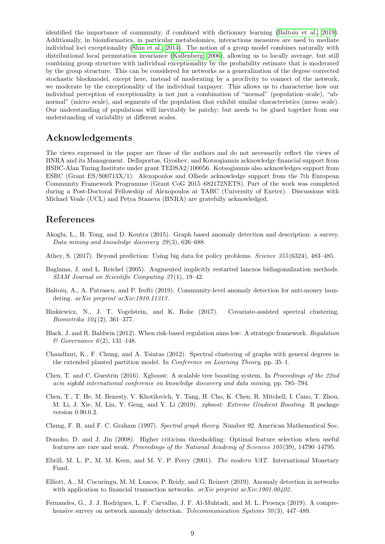identified the importance of community, if combined with dictionary learning [\(Baltoiu et al., 2019\)](#page-8-3). Additionally, in bioinformatics, in particular metabolomics, interactions measures are used to mediate individual loci exceptionality [\(Shin et al., 2014\)](#page-9-19). The notion of a group model combines naturally with distributional local permutation invariance [\(Kallenberg, 2006\)](#page-9-20), allowing us to locally average, but still combining group structure with individual exceptionality by the probability estimate that is moderated by the group structure. This can be considered for networks as a generalization of the degree–corrected stochastic blockmodel, except here, instead of moderating by a proclivity to connect of the network, we moderate by the exceptionality of the individual taxpayer. This allows us to characterise how our individual perception of exceptionality is not just a combination of "normal" (population–scale), "abnormal" (micro–scale), and segments of the population that exhibit similar characteristics (meso–scale). Our understanding of populations will inevitably be patchy; but needs to be glued together from our understanding of variability at different scales.

### Acknowledgements

The views expressed in the paper are those of the authors and do not necessarily reflect the views of BNRA and its Management. Dellaportas, Gyoshev, and Kotsogiannis acknowledge financial support from HSBC-Alan Turing Institute under grant TEDSA2/100056. Kotsogiannis also acknowledges support from ESRC (Grant ES/S00713X/1). Alexopoulos and Olhede acknowledge support from the 7th European Community Framework Programme (Grant CoG 2015–682172NETS). Part of the work was completed during a Post-Doctoral Fellowship of Alexopoulos at TARC (University of Exeter). Discussions with Michael Veale (UCL) and Petya Staneva (BNRA) are gratefully acknowledged.

### References

- <span id="page-8-2"></span>Akoglu, L., H. Tong, and D. Koutra (2015). Graph based anomaly detection and description: a survey. Data mining and knowledge discovery 29 (3), 626–688.
- <span id="page-8-1"></span>Athey, S. (2017). Beyond prediction: Using big data for policy problems. Science 355 (6324), 483–485.
- <span id="page-8-10"></span>Baglama, J. and L. Reichel (2005). Augmented implicitly restarted lanczos bidiagonalization methods. SIAM Journal on Scientific Computing 27 (1), 19–42.
- <span id="page-8-3"></span>Baltoiu, A., A. Patrascu, and P. Irofti (2019). Community-level anomaly detection for anti-money laundering. *arXiv preprint arXiv:1910.11313*.
- <span id="page-8-9"></span>Binkiewicz, N., J. T. Vogelstein, and K. Rohe (2017). Covariate-assisted spectral clustering. Biometrika 104 (2), 361–377.
- <span id="page-8-12"></span>Black, J. and R. Baldwin (2012). When risk-based regulation aims low: A strategic framework. Regulation  $\&$  Governance 6(2), 131–148.
- <span id="page-8-8"></span>Chaudhuri, K., F. Chung, and A. Tsiatas (2012). Spectral clustering of graphs with general degrees in the extended planted partition model. In Conference on Learning Theory, pp. 35–1.
- <span id="page-8-6"></span>Chen, T. and C. Guestrin (2016). Xgboost: A scalable tree boosting system. In Proceedings of the 22nd acm sigkdd international conference on knowledge discovery and data mining, pp. 785–794.
- <span id="page-8-13"></span>Chen, T., T. He, M. Benesty, V. Khotilovich, Y. Tang, H. Cho, K. Chen, R. Mitchell, I. Cano, T. Zhou, M. Li, J. Xie, M. Lin, Y. Geng, and Y. Li (2019). xgboost: Extreme Gradient Boosting. R package version 0.90.0.2.
- <span id="page-8-7"></span>Chung, F. R. and F. C. Graham (1997). Spectral graph theory. Number 92. American Mathematical Soc.
- <span id="page-8-11"></span>Donoho, D. and J. Jin (2008). Higher criticism thresholding: Optimal feature selection when useful features are rare and weak. Proceedings of the National Academy of Sciences 105 (39), 14790–14795.
- <span id="page-8-0"></span>Ebrill, M. L. P., M. M. Keen, and M. V. P. Perry (2001). The modern VAT. International Monetary Fund.
- <span id="page-8-5"></span>Elliott, A., M. Cucuringu, M. M. Luaces, P. Reidy, and G. Reinert (2019). Anomaly detection in networks with application to financial transaction networks.  $arXiv$  preprint  $arXiv:1901.00402$ .
- <span id="page-8-4"></span>Fernandes, G., J. J. Rodrigues, L. F. Carvalho, J. F. Al-Muhtadi, and M. L. Proença (2019). A comprehensive survey on network anomaly detection. *Telecommunication Systems* 70(3), 447–489.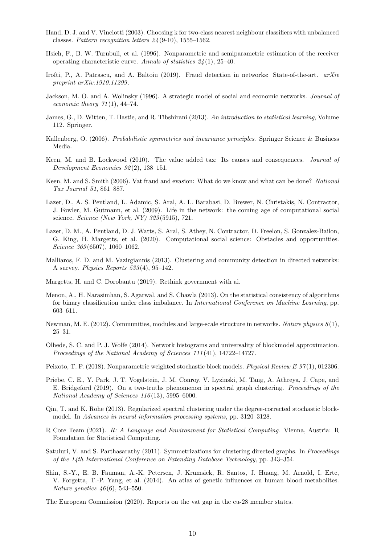- <span id="page-9-15"></span>Hand, D. J. and V. Vinciotti (2003). Choosing k for two-class nearest neighbour classifiers with unbalanced classes. Pattern recognition letters  $24(9-10)$ , 1555–1562.
- <span id="page-9-18"></span>Hsieh, F., B. W. Turnbull, et al. (1996). Nonparametric and semiparametric estimation of the receiver operating characteristic curve. Annals of statistics 24 (1), 25–40.
- <span id="page-9-6"></span>Irofti, P., A. Patrascu, and A. Baltoiu (2019). Fraud detection in networks: State-of-the-art. arXiv preprint arXiv:1910.11299 .
- <span id="page-9-4"></span>Jackson, M. O. and A. Wolinsky (1996). A strategic model of social and economic networks. Journal of economic theory  $71(1)$ , 44-74.
- <span id="page-9-8"></span>James, G., D. Witten, T. Hastie, and R. Tibshirani (2013). An introduction to statistical learning, Volume 112. Springer.
- <span id="page-9-20"></span>Kallenberg, O. (2006). Probabilistic symmetries and invariance principles. Springer Science & Business Media.
- <span id="page-9-1"></span>Keen, M. and B. Lockwood (2010). The value added tax: Its causes and consequences. Journal of Development Economics 92 (2), 138–151.
- <span id="page-9-0"></span>Keen, M. and S. Smith (2006). Vat fraud and evasion: What do we know and what can be done? National Tax Journal 51, 861–887.
- <span id="page-9-2"></span>Lazer, D., A. S. Pentland, L. Adamic, S. Aral, A. L. Barabasi, D. Brewer, N. Christakis, N. Contractor, J. Fowler, M. Gutmann, et al. (2009). Life in the network: the coming age of computational social science. Science (New York, NY) 323 (5915), 721.
- <span id="page-9-3"></span>Lazer, D. M., A. Pentland, D. J. Watts, S. Aral, S. Athey, N. Contractor, D. Freelon, S. Gonzalez-Bailon, G. King, H. Margetts, et al. (2020). Computational social science: Obstacles and opportunities. Science 369(6507), 1060-1062.
- <span id="page-9-21"></span>Malliaros, F. D. and M. Vazirgiannis (2013). Clustering and community detection in directed networks: A survey. Physics Reports 533 (4), 95–142.
- <span id="page-9-5"></span>Margetts, H. and C. Dorobantu (2019). Rethink government with ai.
- <span id="page-9-16"></span>Menon, A., H. Narasimhan, S. Agarwal, and S. Chawla (2013). On the statistical consistency of algorithms for binary classification under class imbalance. In International Conference on Machine Learning, pp. 603–611.
- <span id="page-9-9"></span>Newman, M. E. (2012). Communities, modules and large-scale structure in networks. Nature physics  $8(1)$ , 25–31.
- <span id="page-9-10"></span>Olhede, S. C. and P. J. Wolfe (2014). Network histograms and universality of blockmodel approximation. Proceedings of the National Academy of Sciences 111 (41), 14722–14727.
- <span id="page-9-13"></span>Peixoto, T. P. (2018). Nonparametric weighted stochastic block models. Physical Review E 97(1), 012306.
- <span id="page-9-12"></span>Priebe, C. E., Y. Park, J. T. Vogelstein, J. M. Conroy, V. Lyzinski, M. Tang, A. Athreya, J. Cape, and E. Bridgeford (2019). On a two-truths phenomenon in spectral graph clustering. Proceedings of the National Academy of Sciences 116 (13), 5995–6000.
- <span id="page-9-11"></span>Qin, T. and K. Rohe (2013). Regularized spectral clustering under the degree-corrected stochastic blockmodel. In Advances in neural information processing systems, pp. 3120–3128.
- <span id="page-9-17"></span>R Core Team (2021). R: A Language and Environment for Statistical Computing. Vienna, Austria: R Foundation for Statistical Computing.
- <span id="page-9-14"></span>Satuluri, V. and S. Parthasarathy (2011). Symmetrizations for clustering directed graphs. In Proceedings of the 14th International Conference on Extending Database Technology, pp. 343–354.
- <span id="page-9-19"></span>Shin, S.-Y., E. B. Fauman, A.-K. Petersen, J. Krumsiek, R. Santos, J. Huang, M. Arnold, I. Erte, V. Forgetta, T.-P. Yang, et al. (2014). An atlas of genetic influences on human blood metabolites. *Nature genetics*  $46(6)$ , 543–550.

<span id="page-9-7"></span>The European Commission (2020). Reports on the vat gap in the eu-28 member states.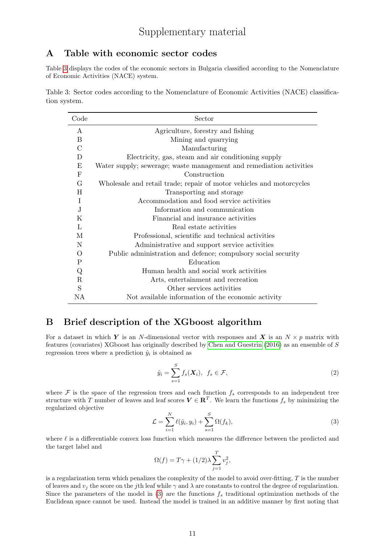# A Table with economic sector codes

Table [3](#page-10-0) displays the codes of the economic sectors in Bulgaria classified according to the Nomenclature of Economic Activities (NACE) system.

<span id="page-10-0"></span>Table 3: Sector codes according to the Nomenclature of Economic Activities (NACE) classification system.

| Code          | Sector                                                               |
|---------------|----------------------------------------------------------------------|
| A             | Agriculture, forestry and fishing                                    |
| B             | Mining and quarrying                                                 |
| $\mathcal{C}$ | Manufacturing                                                        |
| D             | Electricity, gas, steam and air conditioning supply                  |
| E             | Water supply; sewerage; waste management and remediation activities  |
| $_{\rm F}$    | Construction                                                         |
| G             | Wholesale and retail trade; repair of motor vehicles and motorcycles |
| Н             | Transporting and storage                                             |
| Ι             | Accommodation and food service activities                            |
| J.            | Information and communication                                        |
| K             | Financial and insurance activities                                   |
| L             | Real estate activities                                               |
| М             | Professional, scientific and technical activities                    |
| N             | Administrative and support service activities                        |
| O             | Public administration and defence; compulsory social security        |
| $_{\rm P}$    | Education                                                            |
| Q             | Human health and social work activities                              |
| $\mathbf R$   | Arts, entertainment and recreation                                   |
| S             | Other services activities                                            |
| NA            | Not available information of the economic activity                   |

# B Brief description of the XGboost algorithm

For a dataset in which Y is an N-dimensional vector with responses and X is an  $N \times p$  matrix with features (covariates) XGboost has originally described by [Chen and Guestrin](#page-8-6) [\(2016\)](#page-8-6) as an ensemble of S regression trees where a prediction  $\hat{y}_i$  is obtained as

<span id="page-10-2"></span>
$$
\hat{y}_i = \sum_{s=1}^{S} f_s(\mathbf{X}_i), \ f_s \in \mathcal{F}, \tag{2}
$$

where  $\mathcal F$  is the space of the regression trees and each function  $f_s$  corresponds to an independent tree structure with T number of leaves and leaf scores  $V \in \mathbb{R}^{T}$ . We learn the functions  $f_s$  by minimizing the regularized objective

<span id="page-10-1"></span>
$$
\mathcal{L} = \sum_{i=1}^{N} \ell(\hat{y}_i, y_i) + \sum_{s=1}^{S} \Omega(f_k), \tag{3}
$$

where  $\ell$  is a differentiable convex loss function which measures the difference between the predicted and the target label and

$$
\Omega(f) = T\gamma + (1/2)\lambda \sum_{j=1}^{T} v_j^2,
$$

is a regularization term which penalizes the complexity of the model to avoid over-fitting, T is the number of leaves and  $v_j$  the score on the jth leaf while  $\gamma$  and  $\lambda$  are constants to control the degree of regularization. Since the parameters of the model in  $(3)$  are the functions  $f_s$  traditional optimization methods of the Euclidean space cannot be used. Instead the model is trained in an additive manner by first noting that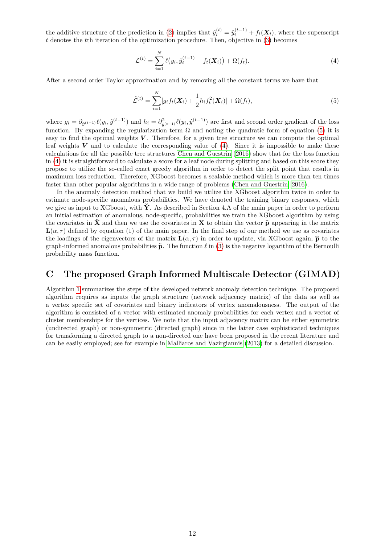the additive structure of the prediction in [\(2\)](#page-10-2) implies that  $\hat{y}_i^{(t)} = \hat{y}_i^{(t-1)} + f_t(\mathbf{X}_i)$ , where the superscript t denotes the tth iteration of the optimization procedure. Then, objective in  $(3)$  becomes

<span id="page-11-1"></span>
$$
\mathcal{L}^{(t)} = \sum_{i=1}^{N} \ell(y_i, \hat{y}_i^{(t-1)} + f_t(\mathbf{X}_i)) + \Omega(f_t).
$$
\n(4)

After a second order Taylor approximation and by removing all the constant terms we have that

<span id="page-11-0"></span>
$$
\tilde{\mathcal{L}}^{(t)} = \sum_{i=1}^{N} [g_i f_t(\mathbf{X}_i) + \frac{1}{2} h_i f_t^2(\mathbf{X}_i)] + \Omega(f_t),
$$
\n(5)

where  $g_i = \partial_{\hat{y}^{(t-1)}} \ell(y_i, \hat{y}^{(t-1)})$  and  $h_i = \partial_{\hat{y}^{(t-1)}}^2 \ell(y_i, \hat{y}^{(t-1)})$  are first and second order gradient of the loss function. By expanding the regularization term  $\Omega$  and noting the quadratic form of equation [\(5\)](#page-11-0) it is easy to find the optimal weights  $V$ . Therefore, for a given tree structure we can compute the optimal leaf weights  $V$  and to calculate the corresponding value of  $(4)$ . Since it is impossible to make these calculations for all the possible tree structures [Chen and Guestrin](#page-8-6) [\(2016\)](#page-8-6) show that for the loss function in [\(4\)](#page-11-1) it is straightforward to calculate a score for a leaf node during splitting and based on this score they propose to utilize the so-called exact greedy algorithm in order to detect the split point that results in maximum loss reduction. Therefore, XGboost becomes a scalable method which is more than ten times faster than other popular algorithms in a wide range of problems [\(Chen and Guestrin, 2016\)](#page-8-6).

In the anomaly detection method that we build we utilize the XGboost algorithm twice in order to estimate node-specific anomalous probabilities. We have denoted the training binary responses, which we give as input to XGboost, with  $\check{Y}$ . As described in Section 4.A of the main paper in order to perform an initial estimation of anomalous, node-specific, probabilities we train the XGboost algorithm by using the covariates in  $\tilde{\mathbf{X}}$  and then we use the covariates in  $\mathbf{X}$  to obtain the vector  $\hat{\mathbf{p}}$  appearing in the matrix  $\mathbf{L}(\alpha, \tau)$  defined by equation (1) of the main paper. In the final step of our method we use as covariates the loadings of the eigenvectors of the matrix  $\mathbf{L}(\alpha, \tau)$  in order to update, via XGboost again,  $\hat{\mathbf{p}}$  to the graph-informed anomalous probabilities  $\tilde{p}$ . The function  $\ell$  in [\(3\)](#page-10-1) is the negative logarithm of the Bernoulli probability mass function.

### C The proposed Graph Informed Multiscale Detector (GIMAD)

Algorithm [1](#page-12-0) summarizes the steps of the developed network anomaly detection technique. The proposed algorithm requires as inputs the graph structure (network adjacency matrix) of the data as well as a vertex specific set of covariates and binary indicators of vertex anomalousness. The output of the algorithm is consisted of a vector with estimated anomaly probabilities for each vertex and a vector of cluster memberships for the vertices. We note that the input adjacency matrix can be either symmetric (undirected graph) or non-symmetric (directed graph) since in the latter case sophisticated techniques for transforming a directed graph to a non-directed one have been proposed in the recent literature and can be easily employed; see for example in [Malliaros and Vazirgiannis](#page-9-21) [\(2013\)](#page-9-21) for a detailed discussion.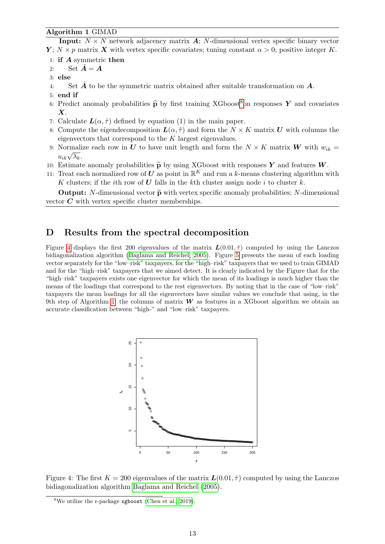#### <span id="page-12-0"></span>Algorithm 1 GIMAD

**Input:**  $N \times N$  network adjacency matrix  $\vec{A}$ ; N-dimensional vertex specific binary vector  $Y$ ;  $N \times p$  matrix X with vertex specific covariates; tuning constant  $\alpha > 0$ ; positive integer K.

- 1: if A symmetric then
- 2: Set  $\tilde{A} = A$
- 3: else
- 4: Set  $\bm{A}$  to be the symmetric matrix obtained after suitable transformation on  $\bm{A}$ .
- 5: end if
- 6: Predict anomaly probabilities  $\hat{\mathbf{p}}$  by first training XGboost<sup>[8](#page-12-1)</sup>on responses Y and covariates  $\boldsymbol{X}$ .
- 7: Calculate  $\mathbf{L}(\alpha, \hat{\tau})$  defined by equation (1) in the main paper.
- 8: Compute the eigendecomposition  $\mathbf{L}(\alpha, \hat{\tau})$  and form the  $N \times K$  matrix U with columns the eigenvectors that correspond to the K largest eigenvalues.
- 9: Normalize each row in U to have unit length and form the  $N \times K$  matrix W with  $w_{ik} =$  $u_{ik}\sqrt{\lambda_k}$ .
- 10: Estimate anomaly probabilities  $\tilde{\mathbf{p}}$  by using XGboost with responses Y and features W.
- 11: Treat each normalized row of U as point in  $\mathbb{R}^K$  and run a k-means clustering algorithm with K clusters; if the *i*th row of U falls in the kth cluster assign node i to cluster k.

**Output:** N-dimensional vector  $\widetilde{\mathbf{p}}$  with vertex specific anomaly probabilities; N-dimensional vector  $C$  with vertex specific cluster memberships.

# D Results from the spectral decomposition

Figure [4](#page-12-2) displays the first 200 eigenvalues of the matrix  $\mathbf{L}(0.01, \hat{\tau})$  computed by using the Lanczos bidiagonalization algorithm [\(Baglama and Reichel, 2005\)](#page-8-10). Figure [5](#page-13-0) presents the mean of each loading vector separately for the "low–risk" taxpayers, for the "high–risk" taxpayers that we used to train GIMAD and for the "high–risk" taxpayers that we aimed detect. It is clearly indicated by the Figure that for the "high–risk" taxpayers exists one eigenvector for which the mean of its loadings is much higher than the means of the loadings that correspond to the rest eigenvectors. By noting that in the case of "low–risk" taxpayers the mean loadings for all the eigenvectors have similar values we conclude that using, in the 9th step of Algorithm [1,](#page-12-0) the columns of matrix  $W$  as features in a XGboost algorithm we obtain an accurate classification between "high-" and "low–risk" taxpayers.

<span id="page-12-2"></span>

Figure 4: The first  $K = 200$  eigenvalues of the matrix  $\mathbf{L}(0.01, \hat{\tau})$  computed by using the Lanczos bidiagonalization algorithm [Baglama and Reichel](#page-8-10) [\(2005\)](#page-8-10).

<span id="page-12-1"></span><sup>&</sup>lt;sup>8</sup>We utilize the r-package **xgboost** [\(Chen et al., 2019\)](#page-8-13).